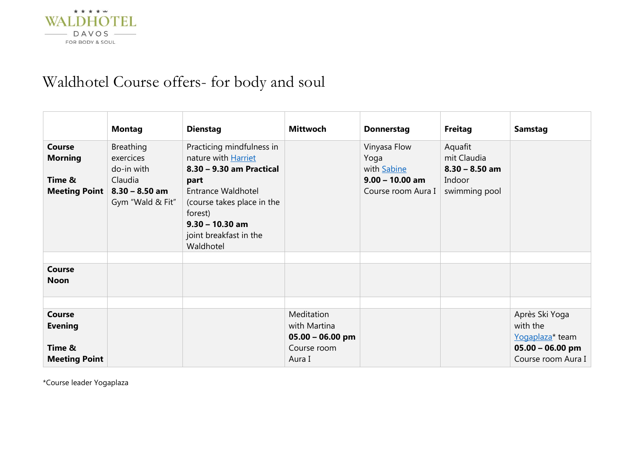

# Waldhotel Course offers- for body and soul

|                                                            | <b>Montag</b>                                                                                  | <b>Dienstag</b>                                                                                                                                                                                                        | <b>Mittwoch</b>                                  | <b>Donnerstag</b>                                                              | <b>Freitag</b>                                                        | <b>Samstag</b>                                |
|------------------------------------------------------------|------------------------------------------------------------------------------------------------|------------------------------------------------------------------------------------------------------------------------------------------------------------------------------------------------------------------------|--------------------------------------------------|--------------------------------------------------------------------------------|-----------------------------------------------------------------------|-----------------------------------------------|
| Course<br><b>Morning</b><br>Time &<br><b>Meeting Point</b> | <b>Breathing</b><br>exercices<br>do-in with<br>Claudia<br>$8.30 - 8.50$ am<br>Gym "Wald & Fit" | Practicing mindfulness in<br>nature with Harriet<br>8.30 - 9.30 am Practical<br>part<br><b>Entrance Waldhotel</b><br>(course takes place in the<br>forest)<br>$9.30 - 10.30$ am<br>joint breakfast in the<br>Waldhotel |                                                  | Vinyasa Flow<br>Yoga<br>with Sabine<br>$9.00 - 10.00$ am<br>Course room Aura I | Aquafit<br>mit Claudia<br>$8.30 - 8.50$ am<br>Indoor<br>swimming pool |                                               |
|                                                            |                                                                                                |                                                                                                                                                                                                                        |                                                  |                                                                                |                                                                       |                                               |
| <b>Course</b><br><b>Noon</b>                               |                                                                                                |                                                                                                                                                                                                                        |                                                  |                                                                                |                                                                       |                                               |
|                                                            |                                                                                                |                                                                                                                                                                                                                        |                                                  |                                                                                |                                                                       |                                               |
| Course<br><b>Evening</b>                                   |                                                                                                |                                                                                                                                                                                                                        | Meditation<br>with Martina<br>$05.00 - 06.00$ pm |                                                                                |                                                                       | Après Ski Yoga<br>with the<br>Yogaplaza* team |
| Time &<br><b>Meeting Point</b>                             |                                                                                                |                                                                                                                                                                                                                        | Course room<br>Aura I                            |                                                                                |                                                                       | $05.00 - 06.00$ pm<br>Course room Aura I      |

\*Course leader Yogaplaza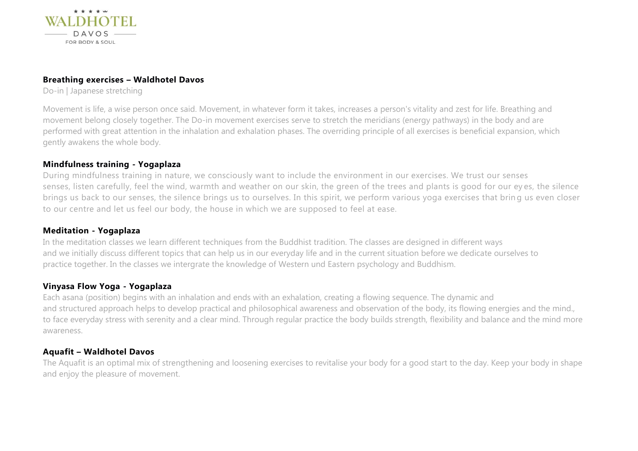

#### **Breathing exercises – Waldhotel Davos**

Do-in | Japanese stretching

Movement is life, a wise person once said. Movement, in whatever form it takes, increases a person's vitality and zest for life. Breathing and movement belong closely together. The Do-in movement exercises serve to stretch the meridians (energy pathways) in the body and are performed with great attention in the inhalation and exhalation phases. The overriding principle of all exercises is beneficial expansion, which gently awakens the whole body.

#### **Mindfulness training - Yogaplaza**

During mindfulness training in nature, we consciously want to include the environment in our exercises. We trust our senses senses, listen carefully, feel the wind, warmth and weather on our skin, the green of the trees and plants is good for our ey es, the silence brings us back to our senses, the silence brings us to ourselves. In this spirit, we perform various yoga exercises that brin g us even closer to our centre and let us feel our body, the house in which we are supposed to feel at ease.

### **Meditation - Yogaplaza**

In the meditation classes we learn different techniques from the Buddhist tradition. The classes are designed in different ways and we initially discuss different topics that can help us in our everyday life and in the current situation before we dedicate ourselves to practice together. In the classes we intergrate the knowledge of Western und Eastern psychology and Buddhism.

### **Vinyasa Flow Yoga - Yogaplaza**

Each asana (position) begins with an inhalation and ends with an exhalation, creating a flowing sequence. The dynamic and and structured approach helps to develop practical and philosophical awareness and observation of the body, its flowing energies and the mind., to face everyday stress with serenity and a clear mind. Through regular practice the body builds strength, flexibility and balance and the mind more awareness.

### **Aquafit – Waldhotel Davos**

The Aquafit is an optimal mix of strengthening and loosening exercises to revitalise your body for a good start to the day. Keep your body in shape and enjoy the pleasure of movement.